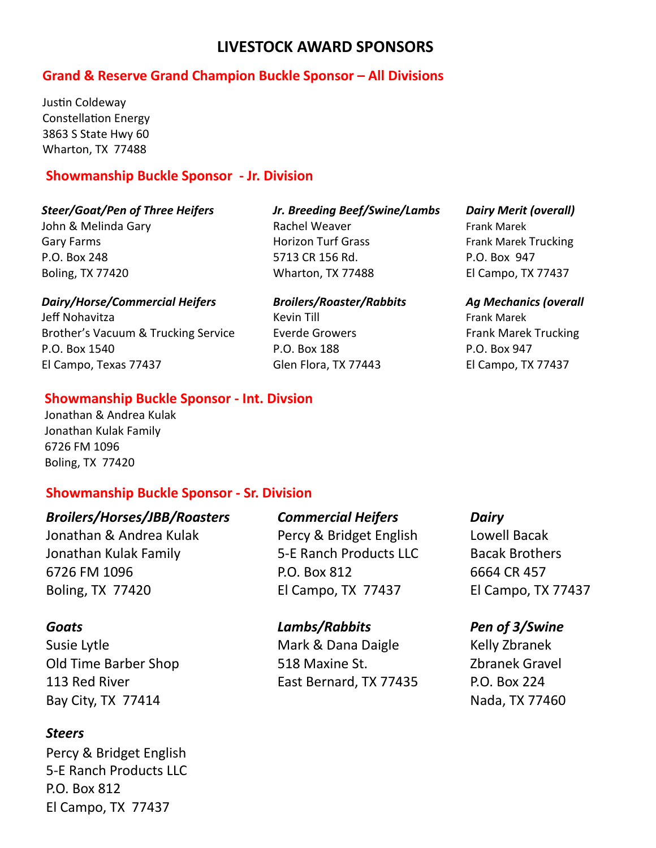# **Grand & Reserve Grand Champion Buckle Sponsor – All Divisions**

Justin Coldeway Constellation Energy 3863 S State Hwy 60 Wharton, TX 77488

#### **Showmanship Buckle Sponsor - Jr. Division**

#### *Steer/Goat/Pen of Three Heifers Jr. Breeding Beef/Swine/Lambs Dairy Merit (overall)*

John & Melinda Gary The Rachel Weaver The Research Research Research Marek Research Marek Gary Farms **Frank Marek Trucking** Horizon Turf Grass Frank Marek Trucking P.O. Box 248 5713 CR 156 Rd. P.O. Box 947 Boling, TX 77420 Wharton, TX 77488 El Campo, TX 77437

#### *Dairy/Horse/Commercial Heifers Broilers/Roaster/Rabbits Ag Mechanics (overall*

Jeff Nohavitza Kevin Till Frank Marek Brother's Vacuum & Trucking Service Frank Marek Trucking Frank Marek Trucking P.O. Box 1540 P.O. Box 188 P.O. Box 947 El Campo, Texas 77437 Glen Flora, TX 77443 El Campo, TX 77437

#### **Showmanship Buckle Sponsor - Int. Divsion**

Jonathan & Andrea Kulak Jonathan Kulak Family 6726 FM 1096 Boling, TX 77420

## **Showmanship Buckle Sponsor - Sr. Division**

Jonathan & Andrea Kulak Percy & Bridget English Lowell Bacak Jonathan Kulak Family 5-E Ranch Products LLC Bacak Brothers 6726 FM 1096 P.O. Box 812 6664 CR 457 Boling, TX 77420 El Campo, TX 77437 El Campo, TX 77437

Bay City, TX 77414 **Nada, TX 77460** 

## *Steers*

Percy & Bridget English 5-E Ranch Products LLC P.O. Box 812 El Campo, TX 77437

# *Broilers/Horses/JBB/Roasters Commercial Heifers Dairy*

## *Goats Lambs/Rabbits Pen of 3/Swine*

Susie Lytle **Mark & Dana Daigle** Mark & Dana Daigle Kelly Zbranek Old Time Barber Shop 518 Maxine St. Zbranek Gravel 113 Red River East Bernard, TX 77435 P.O. Box 224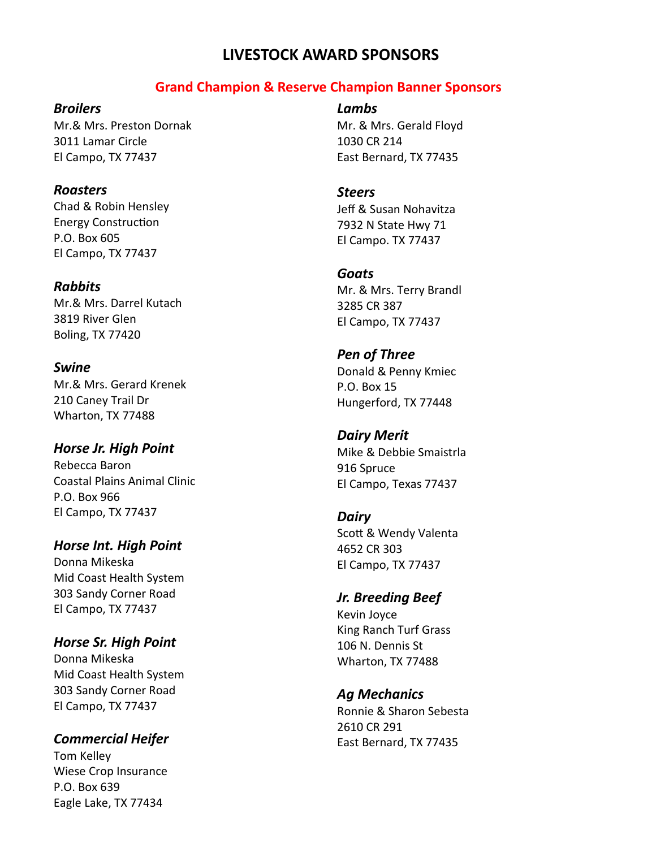## **Grand Champion & Reserve Champion Banner Sponsors**

#### *Broilers*

Mr.& Mrs. Preston Dornak 3011 Lamar Circle El Campo, TX 77437

#### *Roasters*

Chad & Robin Hensley Energy Construction P.O. Box 605 El Campo, TX 77437

#### *Rabbits*

Mr.& Mrs. Darrel Kutach 3819 River Glen Boling, TX 77420

# *Swine*

Mr.& Mrs. Gerard Krenek 210 Caney Trail Dr Wharton, TX 77488

## *Horse Jr. High Point*

Rebecca Baron Coastal Plains Animal Clinic P.O. Box 966 El Campo, TX 77437

#### *Horse Int. High Point*

Donna Mikeska Mid Coast Health System 303 Sandy Corner Road El Campo, TX 77437

## *Horse Sr. High Point*

Donna Mikeska Mid Coast Health System 303 Sandy Corner Road El Campo, TX 77437

## *Commercial Heifer*

Tom Kelley Wiese Crop Insurance P.O. Box 639 Eagle Lake, TX 77434

*Lambs* Mr. & Mrs. Gerald Floyd 1030 CR 214 East Bernard, TX 77435

#### *Steers*

Jeff & Susan Nohavitza 7932 N State Hwy 71 El Campo. TX 77437

#### *Goats*

Mr. & Mrs. Terry Brandl 3285 CR 387 El Campo, TX 77437

## *Pen of Three* Donald & Penny Kmiec P.O. Box 15

Hungerford, TX 77448

*Dairy Merit* Mike & Debbie Smaistrla 916 Spruce El Campo, Texas 77437

#### *Dairy*

Scott & Wendy Valenta 4652 CR 303 El Campo, TX 77437

## *Jr. Breeding Beef*

Kevin Joyce King Ranch Turf Grass 106 N. Dennis St Wharton, TX 77488

## *Ag Mechanics*

Ronnie & Sharon Sebesta 2610 CR 291 East Bernard, TX 77435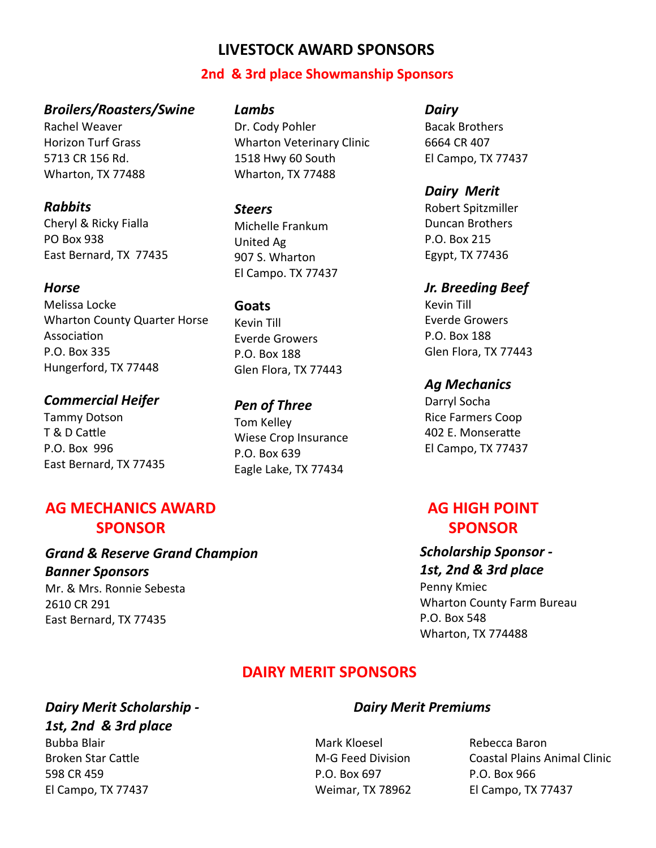#### **2nd & 3rd place Showmanship Sponsors**

#### *Broilers/Roasters/Swine*

Rachel Weaver Horizon Turf Grass 5713 CR 156 Rd. Wharton, TX 77488

#### *Rabbits*

Cheryl & Ricky Fialla PO Box 938 East Bernard, TX 77435

#### *Horse*

Melissa Locke Wharton County Quarter Horse Association P.O. Box 335 Hungerford, TX 77448

#### *Commercial Heifer*

Tammy Dotson T & D Cattle P.O. Box 996 East Bernard, TX 77435

# **AG MECHANICS AWARD SPONSOR**

## *Grand & Reserve Grand Champion Banner Sponsors*

Mr. & Mrs. Ronnie Sebesta 2610 CR 291 East Bernard, TX 77435

*Lambs*

Dr. Cody Pohler Wharton Veterinary Clinic 1518 Hwy 60 South Wharton, TX 77488

#### *Steers*

Michelle Frankum United Ag 907 S. Wharton El Campo. TX 77437

#### **Goats**

Kevin Till Everde Growers P.O. Box 188 Glen Flora, TX 77443

*Pen of Three* Tom Kelley Wiese Crop Insurance P.O. Box 639 Eagle Lake, TX 77434

#### *Dairy*

Bacak Brothers 6664 CR 407 El Campo, TX 77437

## *Dairy Merit*

Robert Spitzmiller Duncan Brothers P.O. Box 215 Egypt, TX 77436

## *Jr. Breeding Beef*

Kevin Till Everde Growers P.O. Box 188 Glen Flora, TX 77443

#### *Ag Mechanics*

Darryl Socha Rice Farmers Coop 402 E. Monseratte El Campo, TX 77437

# **AG HIGH POINT SPONSOR**

## *Scholarship Sponsor - 1st, 2nd & 3rd place*

Penny Kmiec Wharton County Farm Bureau P.O. Box 548 Wharton, TX 774488

# **DAIRY MERIT SPONSORS**

#### *Dairy Merit Scholarship - Dairy Merit Premiums 1st, 2nd & 3rd place*

Bubba Blair Mark Kloesel Rebecca Baron 598 CR 459 P.O. Box 697 P.O. Box 966 El Campo, TX 77437 Weimar, TX 78962 El Campo, TX 77437

Broken Star Cattle **M-G Feed Division** Coastal Plains Animal Clinic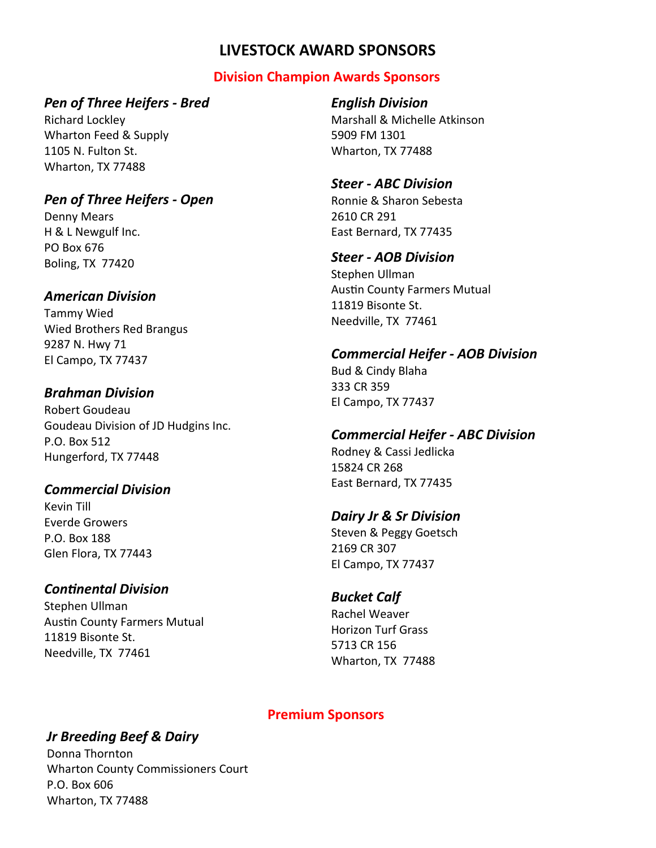# **Division Champion Awards Sponsors**

## *Pen of Three Heifers - Bred*

Richard Lockley Wharton Feed & Supply 1105 N. Fulton St. Wharton, TX 77488

# *Pen of Three Heifers - Open*

Denny Mears H & L Newgulf Inc. PO Box 676 Boling, TX 77420

## *American Division*

Tammy Wied Wied Brothers Red Brangus 9287 N. Hwy 71 El Campo, TX 77437

## *Brahman Division*

Robert Goudeau Goudeau Division of JD Hudgins Inc. P.O. Box 512 Hungerford, TX 77448

# *Commercial Division*

Kevin Till Everde Growers P.O. Box 188 Glen Flora, TX 77443

# *Continental Division*

Stephen Ullman Austin County Farmers Mutual 11819 Bisonte St. Needville, TX 77461

# *English Division*

Marshall & Michelle Atkinson 5909 FM 1301 Wharton, TX 77488

## *Steer - ABC Division*

Ronnie & Sharon Sebesta 2610 CR 291 East Bernard, TX 77435

## *Steer - AOB Division*

Stephen Ullman Austin County Farmers Mutual 11819 Bisonte St. Needville, TX 77461

# *Commercial Heifer - AOB Division*

Bud & Cindy Blaha 333 CR 359 El Campo, TX 77437

# *Commercial Heifer - ABC Division*

Rodney & Cassi Jedlicka 15824 CR 268 East Bernard, TX 77435

# *Dairy Jr & Sr Division*

Steven & Peggy Goetsch 2169 CR 307 El Campo, TX 77437

# *Bucket Calf*

Rachel Weaver Horizon Turf Grass 5713 CR 156 Wharton, TX 77488

# **Premium Sponsors**

# *Jr Breeding Beef & Dairy*

Donna Thornton Wharton County Commissioners Court P.O. Box 606 Wharton, TX 77488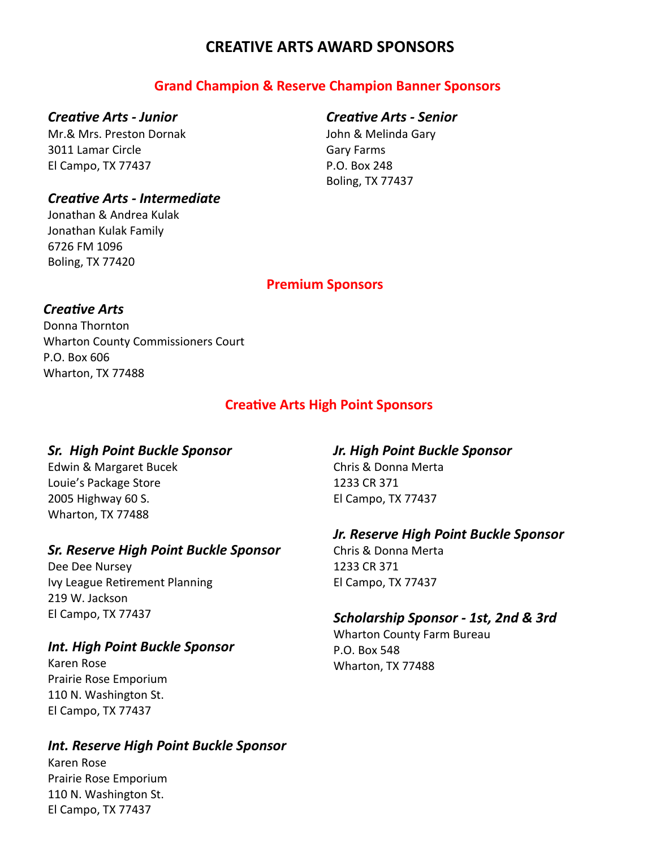# **CREATIVE ARTS AWARD SPONSORS**

# **Grand Champion & Reserve Champion Banner Sponsors**

#### *Creative Arts - Junior*

Mr.& Mrs. Preston Dornak 3011 Lamar Circle El Campo, TX 77437

# *Creative Arts - Senior*

John & Melinda Gary Gary Farms P.O. Box 248 Boling, TX 77437

## *Creative Arts - Intermediate*

Jonathan & Andrea Kulak Jonathan Kulak Family 6726 FM 1096 Boling, TX 77420

#### **Premium Sponsors**

## *Creative Arts*

Donna Thornton Wharton County Commissioners Court P.O. Box 606 Wharton, TX 77488

# **Creative Arts High Point Sponsors**

## *Sr. High Point Buckle Sponsor*

Edwin & Margaret Bucek Louie's Package Store 2005 Highway 60 S. Wharton, TX 77488

# *Sr. Reserve High Point Buckle Sponsor*

Dee Dee Nursey Ivy League Retirement Planning 219 W. Jackson El Campo, TX 77437

## *Int. High Point Buckle Sponsor*

Karen Rose Prairie Rose Emporium 110 N. Washington St. El Campo, TX 77437

# *Int. Reserve High Point Buckle Sponsor*

Karen Rose Prairie Rose Emporium 110 N. Washington St. El Campo, TX 77437

# *Jr. High Point Buckle Sponsor* Chris & Donna Merta

1233 CR 371 El Campo, TX 77437

# *Jr. Reserve High Point Buckle Sponsor*

Chris & Donna Merta 1233 CR 371 El Campo, TX 77437

# *Scholarship Sponsor - 1st, 2nd & 3rd*

Wharton County Farm Bureau P.O. Box 548 Wharton, TX 77488